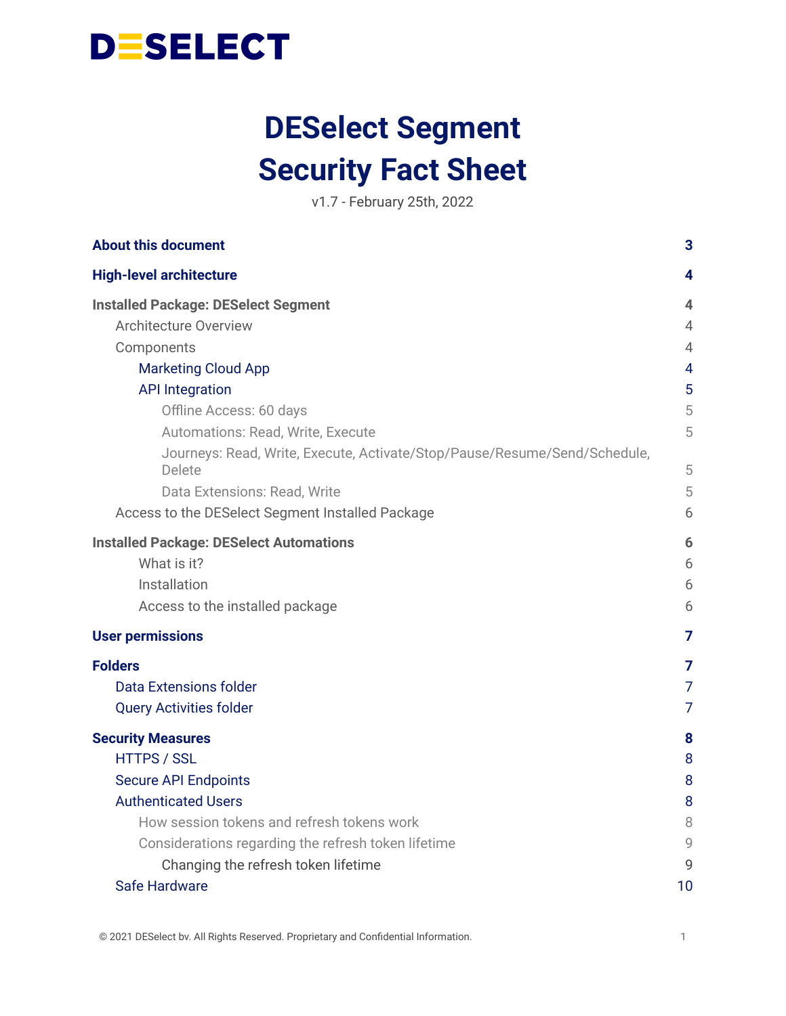

# **DESelect Segment Security Fact Sheet**

v1.7 - February 25th, 2022

| <b>About this document</b>                                                          | 3              |
|-------------------------------------------------------------------------------------|----------------|
| <b>High-level architecture</b>                                                      | 4              |
| <b>Installed Package: DESelect Segment</b>                                          | 4              |
| <b>Architecture Overview</b>                                                        | 4              |
| Components                                                                          | 4              |
| <b>Marketing Cloud App</b>                                                          | 4              |
| <b>API Integration</b>                                                              | 5              |
| Offline Access: 60 days                                                             | 5              |
| Automations: Read, Write, Execute                                                   | 5              |
| Journeys: Read, Write, Execute, Activate/Stop/Pause/Resume/Send/Schedule,<br>Delete | 5              |
| Data Extensions: Read, Write                                                        | 5              |
| Access to the DESelect Segment Installed Package                                    | 6              |
| <b>Installed Package: DESelect Automations</b>                                      | 6              |
| What is it?                                                                         | 6              |
| Installation                                                                        | 6              |
| Access to the installed package                                                     | 6              |
| <b>User permissions</b>                                                             | 7              |
| <b>Folders</b>                                                                      | 7              |
| <b>Data Extensions folder</b>                                                       | 7              |
| <b>Query Activities folder</b>                                                      | $\overline{7}$ |
| <b>Security Measures</b>                                                            | 8              |
| <b>HTTPS / SSL</b>                                                                  | 8              |
| <b>Secure API Endpoints</b>                                                         | 8              |
| <b>Authenticated Users</b>                                                          | 8              |
| How session tokens and refresh tokens work                                          | 8              |
| Considerations regarding the refresh token lifetime                                 | 9              |
| Changing the refresh token lifetime                                                 | 9              |
| Safe Hardware                                                                       | 10             |

© 2021 DESelect bv. All Rights Reserved. Proprietary and Confidential Information. 1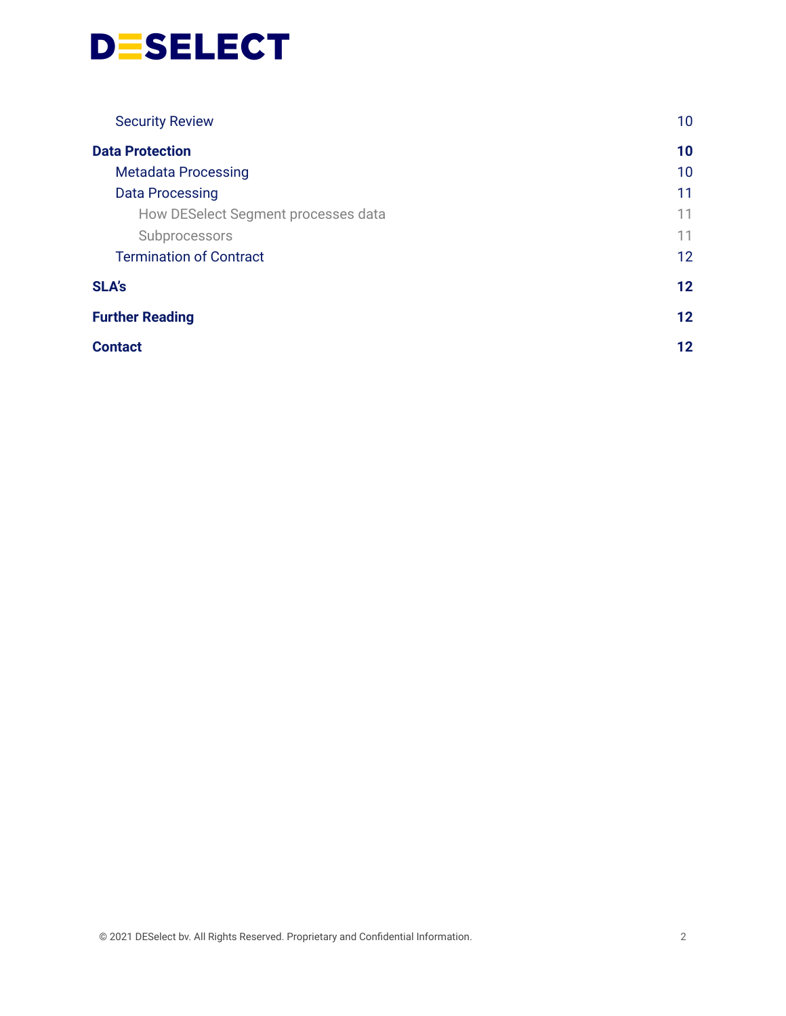

| <b>Security Review</b>              | 10      |
|-------------------------------------|---------|
| <b>Data Protection</b>              | 10      |
| <b>Metadata Processing</b>          | 10      |
| <b>Data Processing</b>              | 11      |
| How DESelect Segment processes data | 11      |
| Subprocessors                       | 11      |
| <b>Termination of Contract</b>      | 12      |
| <b>SLA's</b>                        | 12      |
| <b>Further Reading</b>              | $12 \,$ |
| <b>Contact</b>                      | 12      |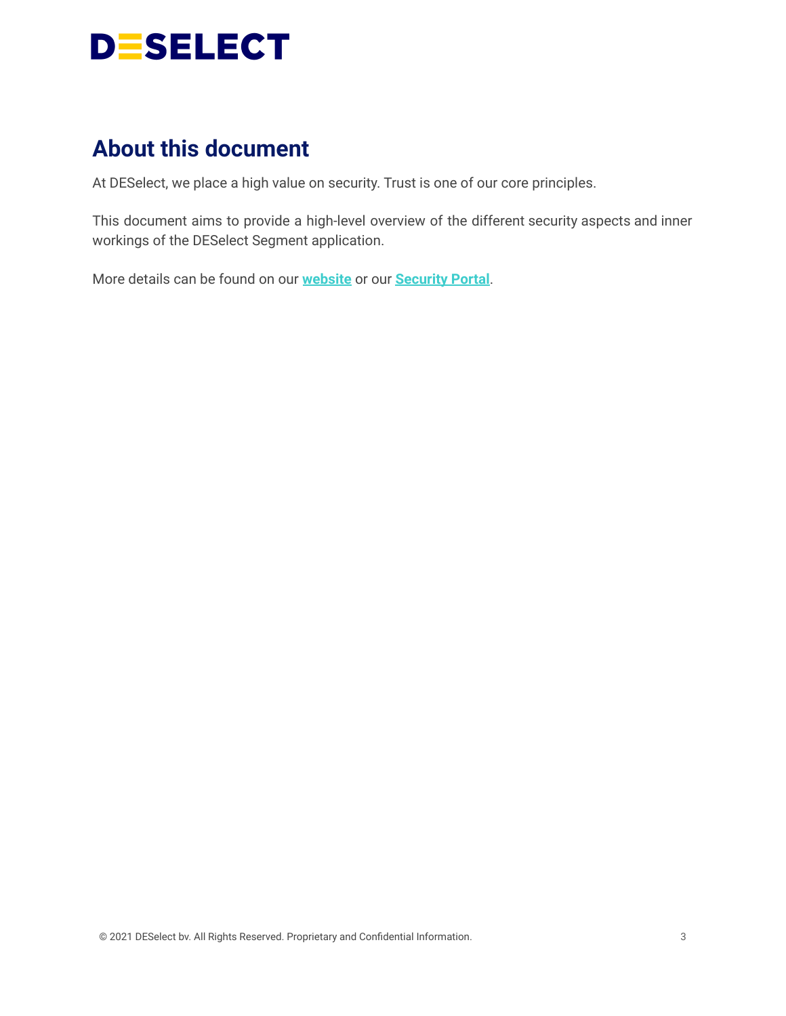

# <span id="page-2-0"></span>**About this document**

At DESelect, we place a high value on security. Trust is one of our core principles.

This document aims to provide a high-level overview of the different security aspects and inner workings of the DESelect Segment application.

More details can be found on our **[website](https://deselect.com/security-and-data-protection/)** or our **[Security](https://security.deselect.com/) Portal**.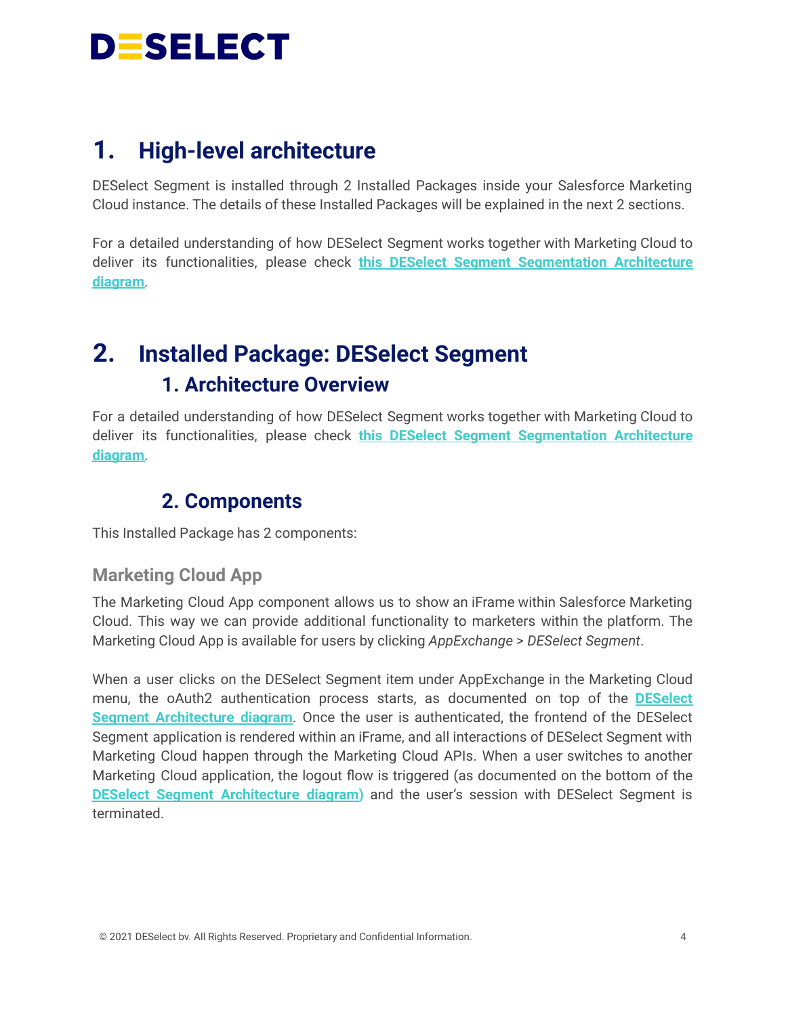

# <span id="page-3-0"></span>**1. High-level architecture**

DESelect Segment is installed through 2 Installed Packages inside your Salesforce Marketing Cloud instance. The details of these Installed Packages will be explained in the next 2 sections.

For a detailed understanding of how DESelect Segment works together with Marketing Cloud to deliver its functionalities, please check **this DESelect Segment [Segmentation](https://drive.google.com/file/d/1CJc-1JA4Wi3cVA63qkMnbApwFHziW3Ox/view?usp=sharing) Architecture [diagram](https://drive.google.com/file/d/1CJc-1JA4Wi3cVA63qkMnbApwFHziW3Ox/view?usp=sharing)**.

# <span id="page-3-2"></span><span id="page-3-1"></span>**2. Installed Package: DESelect Segment 1. Architecture Overview**

<span id="page-3-3"></span>For a detailed understanding of how DESelect Segment works together with Marketing Cloud to deliver its functionalities, please check **this DESelect Segment [Segmentation](https://drive.google.com/file/d/1CJc-1JA4Wi3cVA63qkMnbApwFHziW3Ox/view?usp=sharing) Architecture [diagram](https://drive.google.com/file/d/1CJc-1JA4Wi3cVA63qkMnbApwFHziW3Ox/view?usp=sharing)**.

### **2. Components**

<span id="page-3-4"></span>This Installed Package has 2 components:

#### **Marketing Cloud App**

The Marketing Cloud App component allows us to show an iFrame within Salesforce Marketing Cloud. This way we can provide additional functionality to marketers within the platform. The Marketing Cloud App is available for users by clicking *AppExchange* > *DESelect Segment*.

When a user clicks on the DESelect Segment item under AppExchange in the Marketing Cloud menu, the oAuth2 authentication process starts, as documented on top of the **[DESelect](https://drive.google.com/file/d/1CJc-1JA4Wi3cVA63qkMnbApwFHziW3Ox/view) Segment [Architecture](https://drive.google.com/file/d/1CJc-1JA4Wi3cVA63qkMnbApwFHziW3Ox/view) diagram**. Once the user is authenticated, the frontend of the DESelect Segment application is rendered within an iFrame, and all interactions of DESelect Segment with Marketing Cloud happen through the Marketing Cloud APIs. When a user switches to another Marketing Cloud application, the logout flow is triggered (as documented on the bottom of the **DESelect Segment [Architecture](https://drive.google.com/file/d/1CJc-1JA4Wi3cVA63qkMnbApwFHziW3Ox/view) diagram)** and the user's session with DESelect Segment is terminated.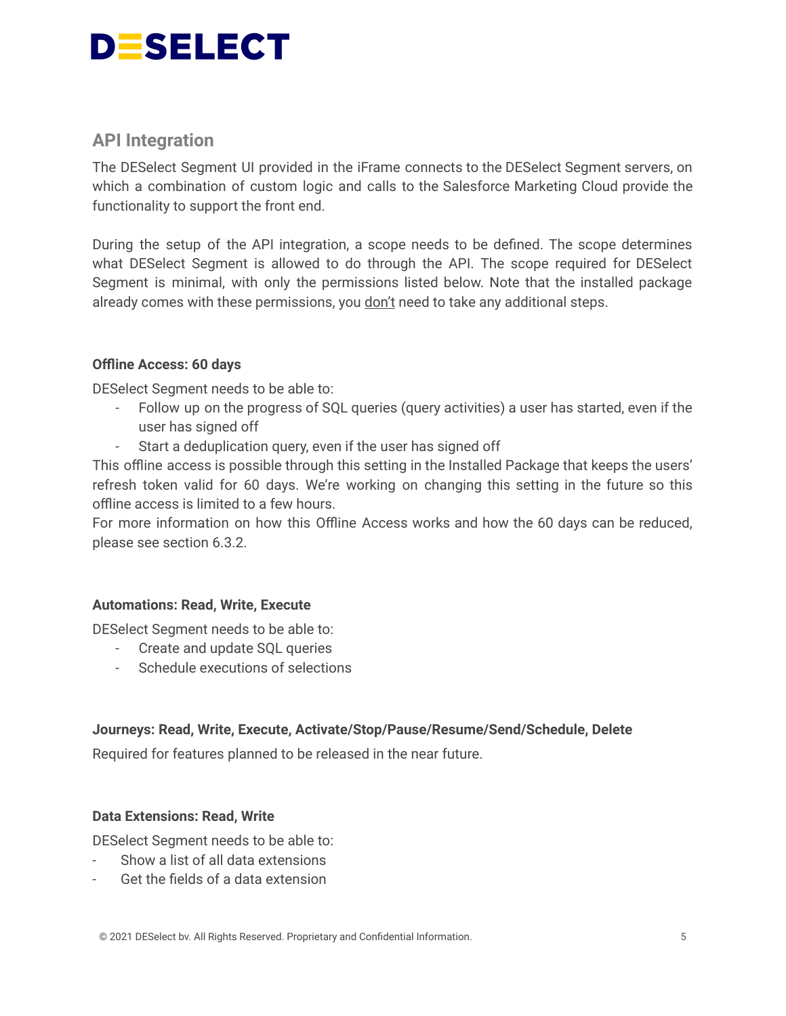

#### <span id="page-4-0"></span>**API Integration**

The DESelect Segment UI provided in the iFrame connects to the DESelect Segment servers, on which a combination of custom logic and calls to the Salesforce Marketing Cloud provide the functionality to support the front end.

During the setup of the API integration, a scope needs to be defined. The scope determines what DESelect Segment is allowed to do through the API. The scope required for DESelect Segment is minimal, with only the permissions listed below. Note that the installed package already comes with these permissions, you don't need to take any additional steps.

#### <span id="page-4-1"></span>**Offline Access: 60 days**

DESelect Segment needs to be able to:

- Follow up on the progress of SQL queries (query activities) a user has started, even if the user has signed off
- Start a deduplication query, even if the user has signed off

This offline access is possible through this setting in the Installed Package that keeps the users' refresh token valid for 60 days. We're working on changing this setting in the future so this offline access is limited to a few hours.

For more information on how this Offline Access works and how the 60 days can be reduced, please see section 6.3.2.

#### <span id="page-4-2"></span>**Automations: Read, Write, Execute**

DESelect Segment needs to be able to:

- Create and update SQL queries
- Schedule executions of selections

#### <span id="page-4-3"></span>**Journeys: Read, Write, Execute, Activate/Stop/Pause/Resume/Send/Schedule, Delete**

Required for features planned to be released in the near future.

#### <span id="page-4-4"></span>**Data Extensions: Read, Write**

DESelect Segment needs to be able to:

- Show a list of all data extensions
- Get the fields of a data extension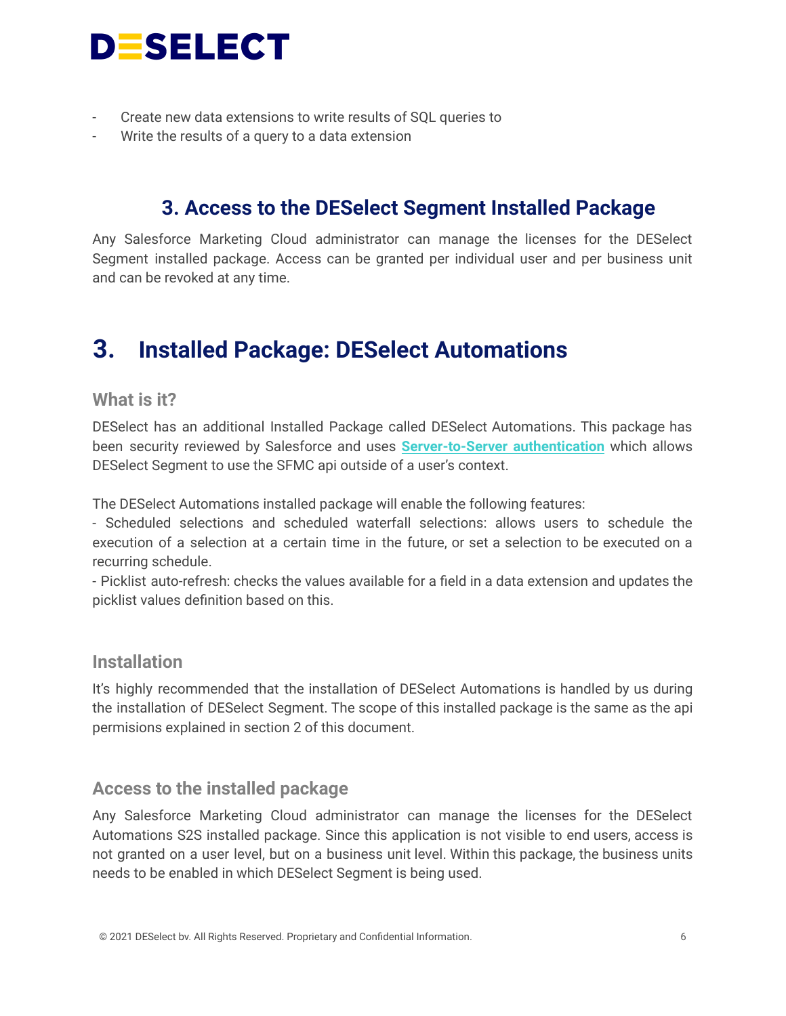

- Create new data extensions to write results of SQL queries to
- <span id="page-5-0"></span>Write the results of a query to a data extension

### **3. Access to the DESelect Segment Installed Package**

Any Salesforce Marketing Cloud administrator can manage the licenses for the DESelect Segment installed package. Access can be granted per individual user and per business unit and can be revoked at any time.

# <span id="page-5-1"></span>**3. Installed Package: DESelect Automations**

#### <span id="page-5-2"></span>**What is it?**

DESelect has an additional Installed Package called DESelect Automations. This package has been security reviewed by Salesforce and uses **[Server-to-Server](https://developer.salesforce.com/docs/atlas.en-us.mc-app-development.meta/mc-app-development/access-token-s2s.htm) authentication** which allows DESelect Segment to use the SFMC api outside of a user's context.

The DESelect Automations installed package will enable the following features:

- Scheduled selections and scheduled waterfall selections: allows users to schedule the execution of a selection at a certain time in the future, or set a selection to be executed on a recurring schedule.

- Picklist auto-refresh: checks the values available for a field in a data extension and updates the picklist values definition based on this.

#### <span id="page-5-3"></span>**Installation**

It's highly recommended that the installation of DESelect Automations is handled by us during the installation of DESelect Segment. The scope of this installed package is the same as the api permisions explained in section 2 of this document.

#### <span id="page-5-4"></span>**Access to the installed package**

Any Salesforce Marketing Cloud administrator can manage the licenses for the DESelect Automations S2S installed package. Since this application is not visible to end users, access is not granted on a user level, but on a business unit level. Within this package, the business units needs to be enabled in which DESelect Segment is being used.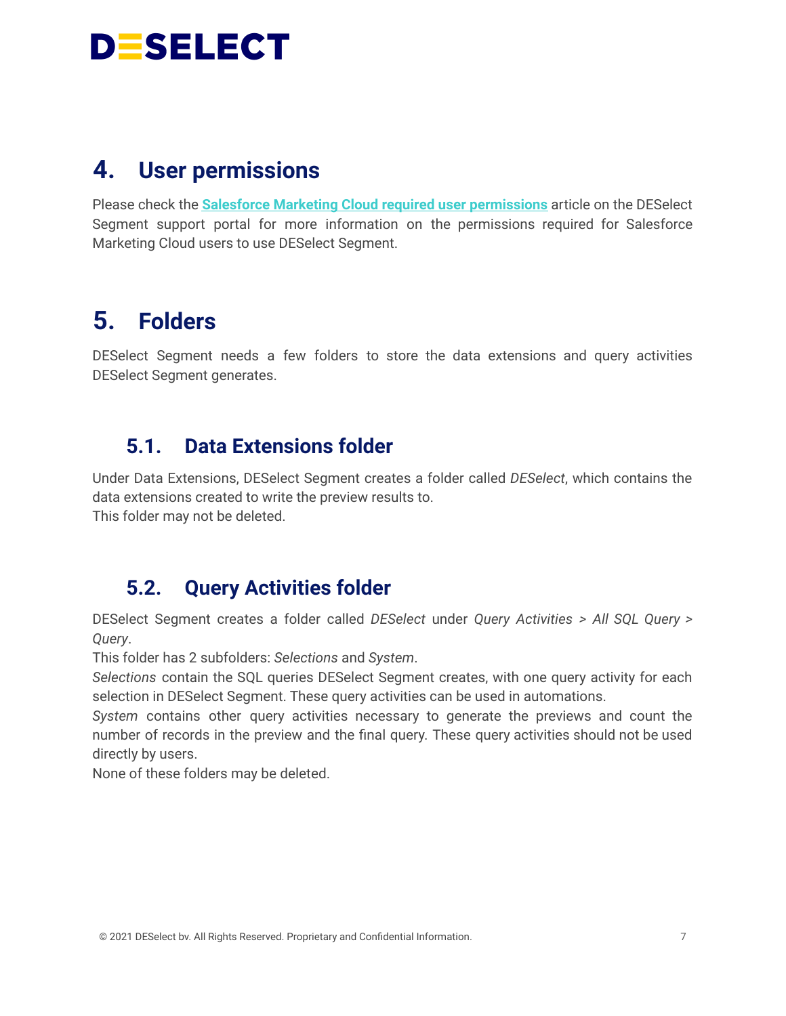

# <span id="page-6-0"></span>**4. User permissions**

Please check the **Salesforce Marketing Cloud required user [permissions](https://support.deselect.com/hc/en-us/articles/360003070837-Salesforce-Marketing-Cloud-required-user-permissions)** article on the DESelect Segment support portal for more information on the permissions required for Salesforce Marketing Cloud users to use DESelect Segment.

# <span id="page-6-1"></span>**5. Folders**

DESelect Segment needs a few folders to store the data extensions and query activities DESelect Segment generates.

### <span id="page-6-2"></span>**5.1. Data Extensions folder**

Under Data Extensions, DESelect Segment creates a folder called *DESelect*, which contains the data extensions created to write the preview results to. This folder may not be deleted.

### <span id="page-6-3"></span>**5.2. Query Activities folder**

DESelect Segment creates a folder called *DESelect* under *Query Activities > All SQL Query > Query*.

This folder has 2 subfolders: *Selections* and *System*.

*Selections* contain the SQL queries DESelect Segment creates, with one query activity for each selection in DESelect Segment. These query activities can be used in automations.

*System* contains other query activities necessary to generate the previews and count the number of records in the preview and the final query. These query activities should not be used directly by users.

None of these folders may be deleted.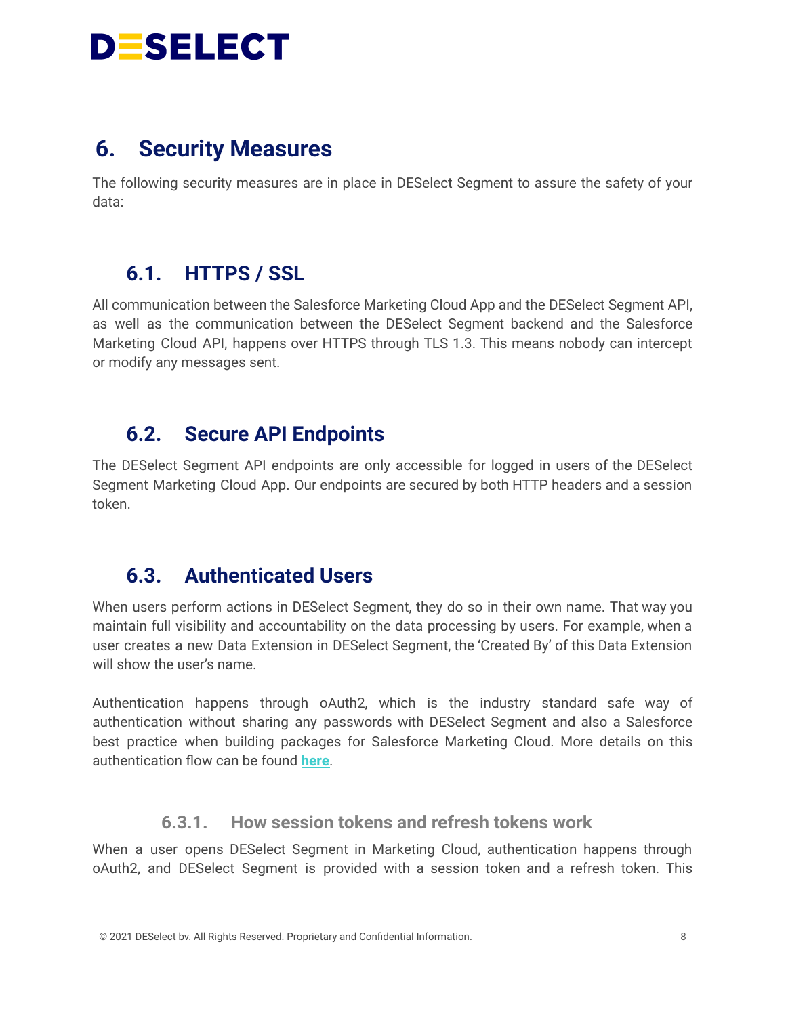

## <span id="page-7-0"></span>**6. Security Measures**

The following security measures are in place in DESelect Segment to assure the safety of your data:

### <span id="page-7-1"></span>**6.1. HTTPS / SSL**

All communication between the Salesforce Marketing Cloud App and the DESelect Segment API, as well as the communication between the DESelect Segment backend and the Salesforce Marketing Cloud API, happens over HTTPS through TLS 1.3. This means nobody can intercept or modify any messages sent.

### <span id="page-7-2"></span>**6.2. Secure API Endpoints**

The DESelect Segment API endpoints are only accessible for logged in users of the DESelect Segment Marketing Cloud App. Our endpoints are secured by both HTTP headers and a session token.

### <span id="page-7-3"></span>**6.3. Authenticated Users**

When users perform actions in DESelect Segment, they do so in their own name. That way you maintain full visibility and accountability on the data processing by users. For example, when a user creates a new Data Extension in DESelect Segment, the 'Created By' of this Data Extension will show the user's name.

Authentication happens through oAuth2, which is the industry standard safe way of authentication without sharing any passwords with DESelect Segment and also a Salesforce best practice when building packages for Salesforce Marketing Cloud. More details on this authentication flow can be found **[here](https://developer.salesforce.com/docs/marketing/marketing-cloud/guide/integration-app-auth-code.html)**.

#### **6.3.1. How session tokens and refresh tokens work**

<span id="page-7-4"></span>When a user opens DESelect Segment in Marketing Cloud, authentication happens through oAuth2, and DESelect Segment is provided with a session token and a refresh token. This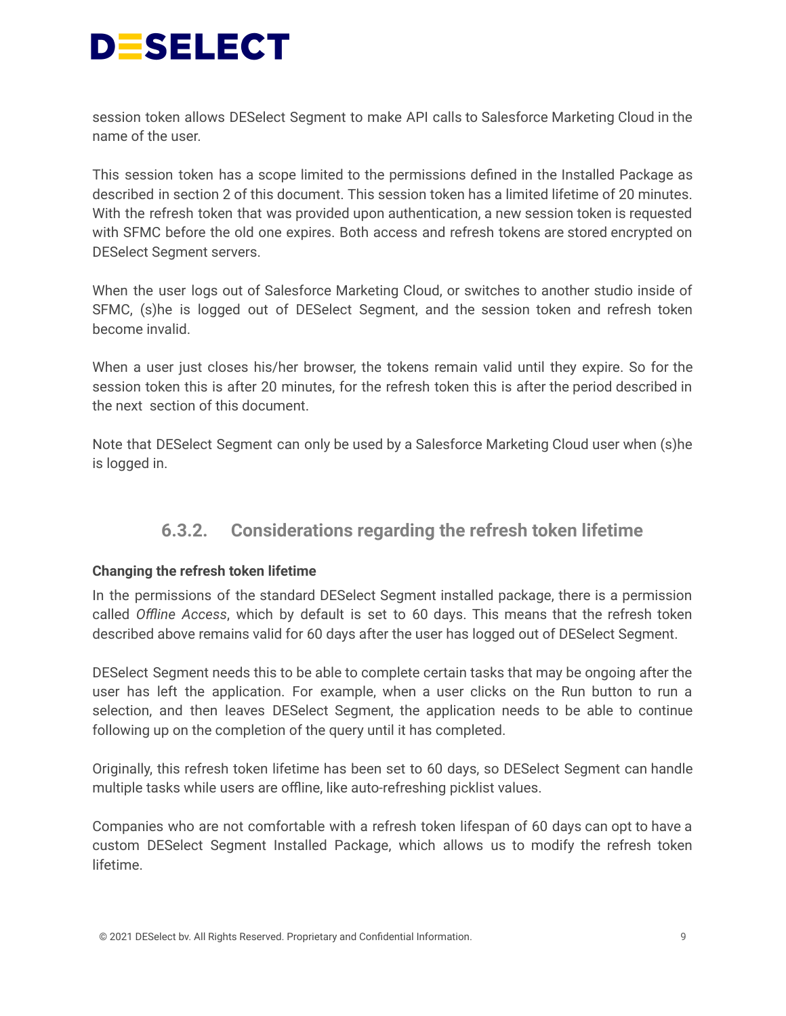

session token allows DESelect Segment to make API calls to Salesforce Marketing Cloud in the name of the user.

This session token has a scope limited to the permissions defined in the Installed Package as described in section 2 of this document. This session token has a limited lifetime of 20 minutes. With the refresh token that was provided upon authentication, a new session token is requested with SFMC before the old one expires. Both access and refresh tokens are stored encrypted on DESelect Segment servers.

When the user logs out of Salesforce Marketing Cloud, or switches to another studio inside of SFMC, (s)he is logged out of DESelect Segment, and the session token and refresh token become invalid.

When a user just closes his/her browser, the tokens remain valid until they expire. So for the session token this is after 20 minutes, for the refresh token this is after the period described in the next section of this document.

<span id="page-8-0"></span>Note that DESelect Segment can only be used by a Salesforce Marketing Cloud user when (s)he is logged in.

#### **6.3.2. Considerations regarding the refresh token lifetime**

#### <span id="page-8-1"></span>**Changing the refresh token lifetime**

In the permissions of the standard DESelect Segment installed package, there is a permission called *Offline Access*, which by default is set to 60 days. This means that the refresh token described above remains valid for 60 days after the user has logged out of DESelect Segment.

DESelect Segment needs this to be able to complete certain tasks that may be ongoing after the user has left the application. For example, when a user clicks on the Run button to run a selection, and then leaves DESelect Segment, the application needs to be able to continue following up on the completion of the query until it has completed.

Originally, this refresh token lifetime has been set to 60 days, so DESelect Segment can handle multiple tasks while users are offline, like auto-refreshing picklist values.

Companies who are not comfortable with a refresh token lifespan of 60 days can opt to have a custom DESelect Segment Installed Package, which allows us to modify the refresh token lifetime.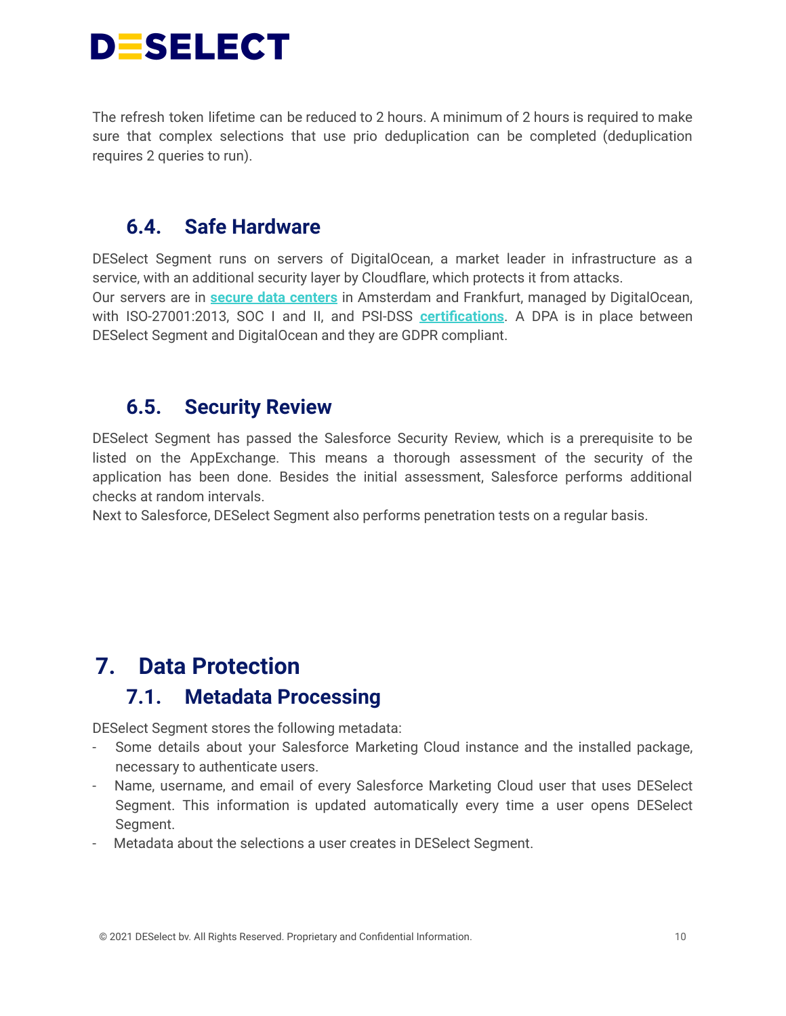

The refresh token lifetime can be reduced to 2 hours. A minimum of 2 hours is required to make sure that complex selections that use prio deduplication can be completed (deduplication requires 2 queries to run).

### <span id="page-9-0"></span>**6.4. Safe Hardware**

DESelect Segment runs on servers of DigitalOcean, a market leader in infrastructure as a service, with an additional security layer by Cloudflare, which protects it from attacks. Our servers are in **secure data [centers](https://www.digitalocean.com/trust/)** in Amsterdam and Frankfurt, managed by DigitalOcean, with ISO-27001:2013, SOC I and II, and PSI-DSS **[certifications](https://www.digitalocean.com/trust/certification-reports/)**. A DPA is in place between DESelect Segment and DigitalOcean and they are GDPR compliant.

### <span id="page-9-1"></span>**6.5. Security Review**

DESelect Segment has passed the Salesforce Security Review, which is a prerequisite to be listed on the AppExchange. This means a thorough assessment of the security of the application has been done. Besides the initial assessment, Salesforce performs additional checks at random intervals.

Next to Salesforce, DESelect Segment also performs penetration tests on a regular basis.

# <span id="page-9-3"></span><span id="page-9-2"></span>**7. Data Protection**

### **7.1. Metadata Processing**

DESelect Segment stores the following metadata:

- Some details about your Salesforce Marketing Cloud instance and the installed package, necessary to authenticate users.
- Name, username, and email of every Salesforce Marketing Cloud user that uses DESelect Segment. This information is updated automatically every time a user opens DESelect Segment.
- Metadata about the selections a user creates in DESelect Segment.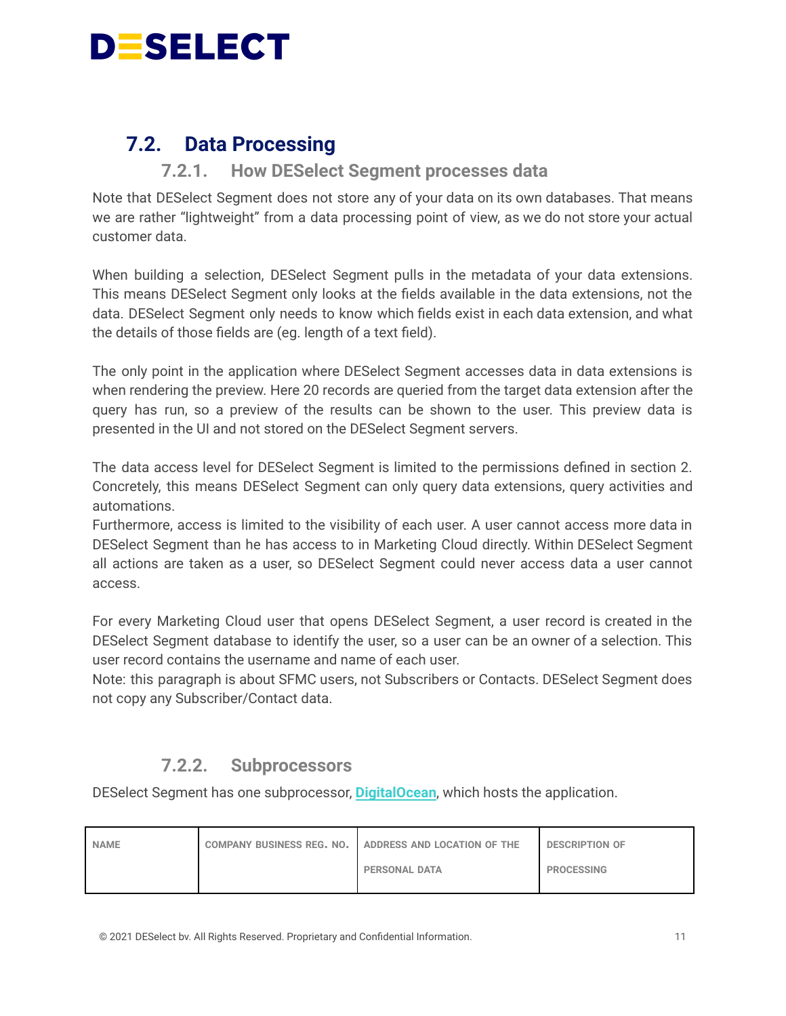

### <span id="page-10-0"></span>**7.2. Data Processing**

#### **7.2.1. How DESelect Segment processes data**

<span id="page-10-1"></span>Note that DESelect Segment does not store any of your data on its own databases. That means we are rather "lightweight" from a data processing point of view, as we do not store your actual customer data.

When building a selection, DESelect Segment pulls in the metadata of your data extensions. This means DESelect Segment only looks at the fields available in the data extensions, not the data. DESelect Segment only needs to know which fields exist in each data extension, and what the details of those fields are (eg. length of a text field).

The only point in the application where DESelect Segment accesses data in data extensions is when rendering the preview. Here 20 records are queried from the target data extension after the query has run, so a preview of the results can be shown to the user. This preview data is presented in the UI and not stored on the DESelect Segment servers.

The data access level for DESelect Segment is limited to the permissions defined in section 2. Concretely, this means DESelect Segment can only query data extensions, query activities and automations.

Furthermore, access is limited to the visibility of each user. A user cannot access more data in DESelect Segment than he has access to in Marketing Cloud directly. Within DESelect Segment all actions are taken as a user, so DESelect Segment could never access data a user cannot access.

For every Marketing Cloud user that opens DESelect Segment, a user record is created in the DESelect Segment database to identify the user, so a user can be an owner of a selection. This user record contains the username and name of each user.

Note: this paragraph is about SFMC users, not Subscribers or Contacts. DESelect Segment does not copy any Subscriber/Contact data.

#### **7.2.2. Subprocessors**

<span id="page-10-2"></span>DESelect Segment has one subprocessor, **[DigitalOcean](https://www.digitalocean.com/trust/)**, which hosts the application.

| <b>NAME</b> | COMPANY BUSINESS REG. NO.   ADDRESS AND LOCATION OF THE | <b>DESCRIPTION OF</b> |
|-------------|---------------------------------------------------------|-----------------------|
|             | <b>PERSONAL DATA</b>                                    | <b>PROCESSING</b>     |

© 2021 DESelect bv. All Rights Reserved. Proprietary and Confidential Information. 11